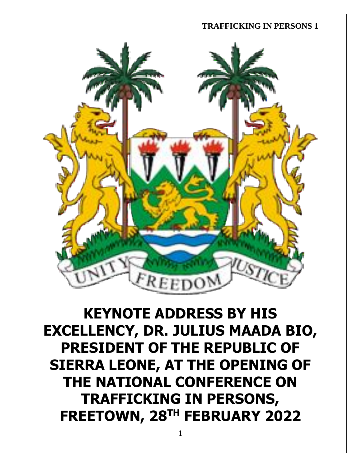

**KEYNOTE ADDRESS BY HIS EXCELLENCY, DR. JULIUS MAADA BIO, PRESIDENT OF THE REPUBLIC OF SIERRA LEONE, AT THE OPENING OF THE NATIONAL CONFERENCE ON TRAFFICKING IN PERSONS, FREETOWN, 28TH FEBRUARY 2022**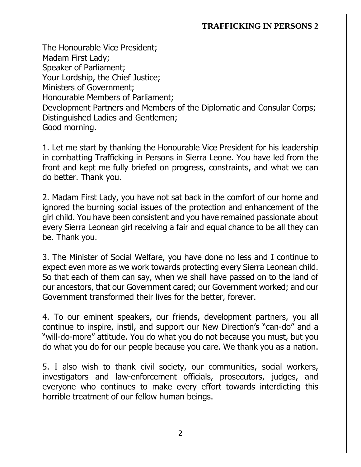The Honourable Vice President; Madam First Lady; Speaker of Parliament; Your Lordship, the Chief Justice; Ministers of Government; Honourable Members of Parliament; Development Partners and Members of the Diplomatic and Consular Corps; Distinguished Ladies and Gentlemen; Good morning.

1. Let me start by thanking the Honourable Vice President for his leadership in combatting Trafficking in Persons in Sierra Leone. You have led from the front and kept me fully briefed on progress, constraints, and what we can do better. Thank you.

2. Madam First Lady, you have not sat back in the comfort of our home and ignored the burning social issues of the protection and enhancement of the girl child. You have been consistent and you have remained passionate about every Sierra Leonean girl receiving a fair and equal chance to be all they can be. Thank you.

3. The Minister of Social Welfare, you have done no less and I continue to expect even more as we work towards protecting every Sierra Leonean child. So that each of them can say, when we shall have passed on to the land of our ancestors, that our Government cared; our Government worked; and our Government transformed their lives for the better, forever.

4. To our eminent speakers, our friends, development partners, you all continue to inspire, instil, and support our New Direction's "can-do" and a "will-do-more" attitude. You do what you do not because you must, but you do what you do for our people because you care. We thank you as a nation.

5. I also wish to thank civil society, our communities, social workers, investigators and law-enforcement officials, prosecutors, judges, and everyone who continues to make every effort towards interdicting this horrible treatment of our fellow human beings.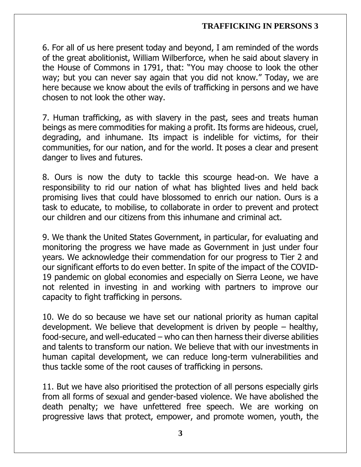6. For all of us here present today and beyond, I am reminded of the words of the great abolitionist, William Wilberforce, when he said about slavery in the House of Commons in 1791, that: "You may choose to look the other way; but you can never say again that you did not know." Today, we are here because we know about the evils of trafficking in persons and we have chosen to not look the other way.

7. Human trafficking, as with slavery in the past, sees and treats human beings as mere commodities for making a profit. Its forms are hideous, cruel, degrading, and inhumane. Its impact is indelible for victims, for their communities, for our nation, and for the world. It poses a clear and present danger to lives and futures.

8. Ours is now the duty to tackle this scourge head-on. We have a responsibility to rid our nation of what has blighted lives and held back promising lives that could have blossomed to enrich our nation. Ours is a task to educate, to mobilise, to collaborate in order to prevent and protect our children and our citizens from this inhumane and criminal act.

9. We thank the United States Government, in particular, for evaluating and monitoring the progress we have made as Government in just under four years. We acknowledge their commendation for our progress to Tier 2 and our significant efforts to do even better. In spite of the impact of the COVID-19 pandemic on global economies and especially on Sierra Leone, we have not relented in investing in and working with partners to improve our capacity to fight trafficking in persons.

10. We do so because we have set our national priority as human capital development. We believe that development is driven by people  $-$  healthy, food-secure, and well-educated – who can then harness their diverse abilities and talents to transform our nation. We believe that with our investments in human capital development, we can reduce long-term vulnerabilities and thus tackle some of the root causes of trafficking in persons.

11. But we have also prioritised the protection of all persons especially girls from all forms of sexual and gender-based violence. We have abolished the death penalty; we have unfettered free speech. We are working on progressive laws that protect, empower, and promote women, youth, the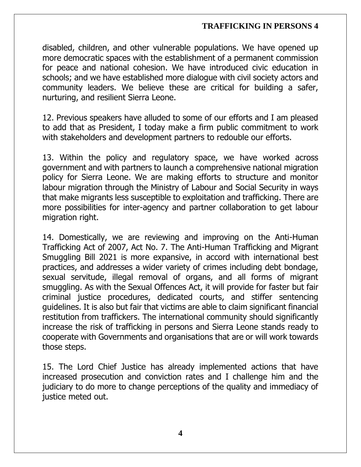disabled, children, and other vulnerable populations. We have opened up more democratic spaces with the establishment of a permanent commission for peace and national cohesion. We have introduced civic education in schools; and we have established more dialogue with civil society actors and community leaders. We believe these are critical for building a safer, nurturing, and resilient Sierra Leone.

12. Previous speakers have alluded to some of our efforts and I am pleased to add that as President, I today make a firm public commitment to work with stakeholders and development partners to redouble our efforts.

13. Within the policy and regulatory space, we have worked across government and with partners to launch a comprehensive national migration policy for Sierra Leone. We are making efforts to structure and monitor labour migration through the Ministry of Labour and Social Security in ways that make migrants less susceptible to exploitation and trafficking. There are more possibilities for inter-agency and partner collaboration to get labour migration right.

14. Domestically, we are reviewing and improving on the Anti-Human Trafficking Act of 2007, Act No. 7. The Anti-Human Trafficking and Migrant Smuggling Bill 2021 is more expansive, in accord with international best practices, and addresses a wider variety of crimes including debt bondage, sexual servitude, illegal removal of organs, and all forms of migrant smuggling. As with the Sexual Offences Act, it will provide for faster but fair criminal justice procedures, dedicated courts, and stiffer sentencing guidelines. It is also but fair that victims are able to claim significant financial restitution from traffickers. The international community should significantly increase the risk of trafficking in persons and Sierra Leone stands ready to cooperate with Governments and organisations that are or will work towards those steps.

15. The Lord Chief Justice has already implemented actions that have increased prosecution and conviction rates and I challenge him and the judiciary to do more to change perceptions of the quality and immediacy of justice meted out.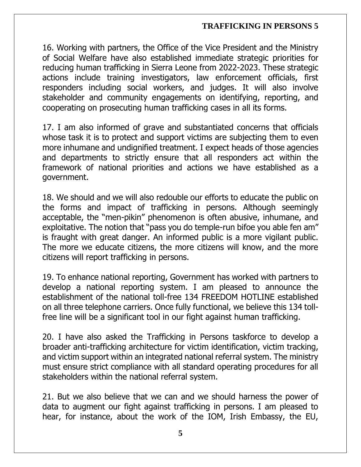16. Working with partners, the Office of the Vice President and the Ministry of Social Welfare have also established immediate strategic priorities for reducing human trafficking in Sierra Leone from 2022-2023. These strategic actions include training investigators, law enforcement officials, first responders including social workers, and judges. It will also involve stakeholder and community engagements on identifying, reporting, and cooperating on prosecuting human trafficking cases in all its forms.

17. I am also informed of grave and substantiated concerns that officials whose task it is to protect and support victims are subjecting them to even more inhumane and undignified treatment. I expect heads of those agencies and departments to strictly ensure that all responders act within the framework of national priorities and actions we have established as a government.

18. We should and we will also redouble our efforts to educate the public on the forms and impact of trafficking in persons. Although seemingly acceptable, the "men-pikin" phenomenon is often abusive, inhumane, and exploitative. The notion that "pass you do temple-run bifoe you able fen am" is fraught with great danger. An informed public is a more vigilant public. The more we educate citizens, the more citizens will know, and the more citizens will report trafficking in persons.

19. To enhance national reporting, Government has worked with partners to develop a national reporting system. I am pleased to announce the establishment of the national toll-free 134 FREEDOM HOTLINE established on all three telephone carriers. Once fully functional, we believe this 134 tollfree line will be a significant tool in our fight against human trafficking.

20. I have also asked the Trafficking in Persons taskforce to develop a broader anti-trafficking architecture for victim identification, victim tracking, and victim support within an integrated national referral system. The ministry must ensure strict compliance with all standard operating procedures for all stakeholders within the national referral system.

21. But we also believe that we can and we should harness the power of data to augment our fight against trafficking in persons. I am pleased to hear, for instance, about the work of the IOM, Irish Embassy, the EU,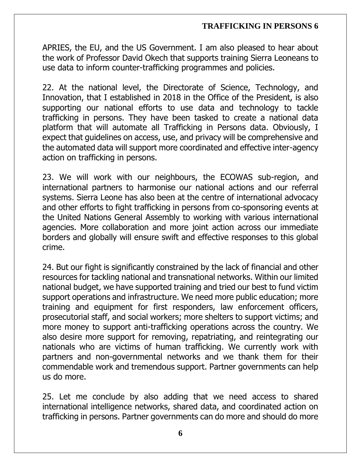APRIES, the EU, and the US Government. I am also pleased to hear about the work of Professor David Okech that supports training Sierra Leoneans to use data to inform counter-trafficking programmes and policies.

22. At the national level, the Directorate of Science, Technology, and Innovation, that I established in 2018 in the Office of the President, is also supporting our national efforts to use data and technology to tackle trafficking in persons. They have been tasked to create a national data platform that will automate all Trafficking in Persons data. Obviously, I expect that guidelines on access, use, and privacy will be comprehensive and the automated data will support more coordinated and effective inter-agency action on trafficking in persons.

23. We will work with our neighbours, the ECOWAS sub-region, and international partners to harmonise our national actions and our referral systems. Sierra Leone has also been at the centre of international advocacy and other efforts to fight trafficking in persons from co-sponsoring events at the United Nations General Assembly to working with various international agencies. More collaboration and more joint action across our immediate borders and globally will ensure swift and effective responses to this global crime.

24. But our fight is significantly constrained by the lack of financial and other resources for tackling national and transnational networks. Within our limited national budget, we have supported training and tried our best to fund victim support operations and infrastructure. We need more public education; more training and equipment for first responders, law enforcement officers, prosecutorial staff, and social workers; more shelters to support victims; and more money to support anti-trafficking operations across the country. We also desire more support for removing, repatriating, and reintegrating our nationals who are victims of human trafficking. We currently work with partners and non-governmental networks and we thank them for their commendable work and tremendous support. Partner governments can help us do more.

25. Let me conclude by also adding that we need access to shared international intelligence networks, shared data, and coordinated action on trafficking in persons. Partner governments can do more and should do more